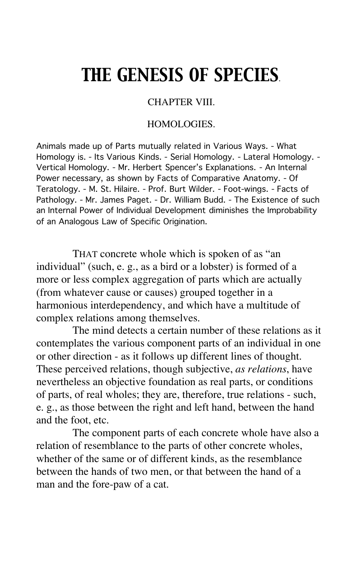# *THE GENESIS OF SPECIES*.

# CHAPTER VIII.

# HOMOLOGIES.

Animals made up of Parts mutually related in Various Ways. - What Homology is. - Its Various Kinds. - Serial Homology. - Lateral Homology. - Vertical Homology. - Mr. Herbert Spencer's Explanations. - An Internal Power necessary, as shown by Facts of Comparative Anatomy. - Of Teratology. - M. St. Hilaire. - Prof. Burt Wilder. - Foot-wings. - Facts of Pathology. - Mr. James Paget. - Dr. William Budd. - The Existence of such an Internal Power of Individual Development diminishes the Improbability of an Analogous Law of Specific Origination.

THAT concrete whole which is spoken of as "an individual" (such, e. g., as a bird or a lobster) is formed of a more or less complex aggregation of parts which are actually (from whatever cause or causes) grouped together in a harmonious interdependency, and which have a multitude of complex relations among themselves.

The mind detects a certain number of these relations as it contemplates the various component parts of an individual in one or other direction - as it follows up different lines of thought. These perceived relations, though subjective, *as relations*, have nevertheless an objective foundation as real parts, or conditions of parts, of real wholes; they are, therefore, true relations - such, e. g., as those between the right and left hand, between the hand and the foot, etc.

The component parts of each concrete whole have also a relation of resemblance to the parts of other concrete wholes, whether of the same or of different kinds, as the resemblance between the hands of two men, or that between the hand of a man and the fore-paw of a cat.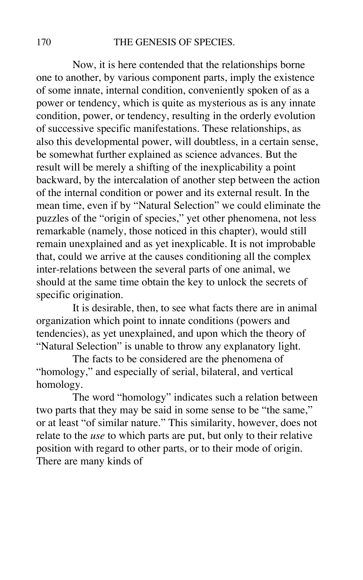## 170 THE GENESIS OF SPECIES.

Now, it is here contended that the relationships borne one to another, by various component parts, imply the existence of some innate, internal condition, conveniently spoken of as a power or tendency, which is quite as mysterious as is any innate condition, power, or tendency, resulting in the orderly evolution of successive specific manifestations. These relationships, as also this developmental power, will doubtless, in a certain sense, be somewhat further explained as science advances. But the result will be merely a shifting of the inexplicability a point backward, by the intercalation of another step between the action of the internal condition or power and its external result. In the mean time, even if by "Natural Selection" we could eliminate the puzzles of the "origin of species," yet other phenomena, not less remarkable (namely, those noticed in this chapter), would still remain unexplained and as yet inexplicable. It is not improbable that, could we arrive at the causes conditioning all the complex inter-relations between the several parts of one animal, we should at the same time obtain the key to unlock the secrets of specific origination.

It is desirable, then, to see what facts there are in animal organization which point to innate conditions (powers and tendencies), as yet unexplained, and upon which the theory of "Natural Selection" is unable to throw any explanatory light.

The facts to be considered are the phenomena of "homology," and especially of serial, bilateral, and vertical homology.

The word "homology" indicates such a relation between two parts that they may be said in some sense to be "the same," or at least "of similar nature." This similarity, however, does not relate to the *use* to which parts are put, but only to their relative position with regard to other parts, or to their mode of origin. There are many kinds of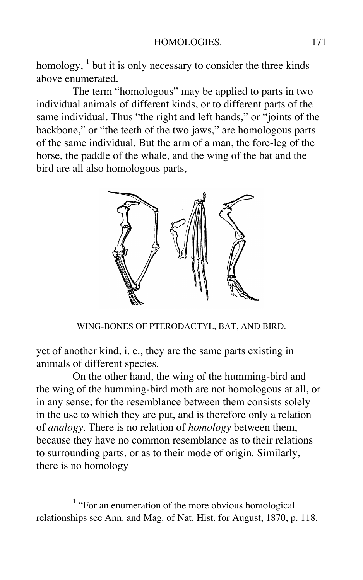homology,  $<sup>1</sup>$  but it is only necessary to consider the three kinds</sup> above enumerated.

The term "homologous" may be applied to parts in two individual animals of different kinds, or to different parts of the same individual. Thus "the right and left hands," or "joints of the backbone," or "the teeth of the two jaws," are homologous parts of the same individual. But the arm of a man, the fore-leg of the horse, the paddle of the whale, and the wing of the bat and the bird are all also homologous parts,



WING-BONES OF PTERODACTYL, BAT, AND BIRD.

yet of another kind, i. e., they are the same parts existing in animals of different species.

On the other hand, the wing of the humming-bird and the wing of the humming-bird moth are not homologous at all, or in any sense; for the resemblance between them consists solely in the use to which they are put, and is therefore only a relation of *analogy*. There is no relation of *homology* between them, because they have no common resemblance as to their relations to surrounding parts, or as to their mode of origin. Similarly, there is no homology

 $<sup>1</sup>$  "For an enumeration of the more obvious homological</sup> relationships see Ann. and Mag. of Nat. Hist. for August, 1870, p. 118.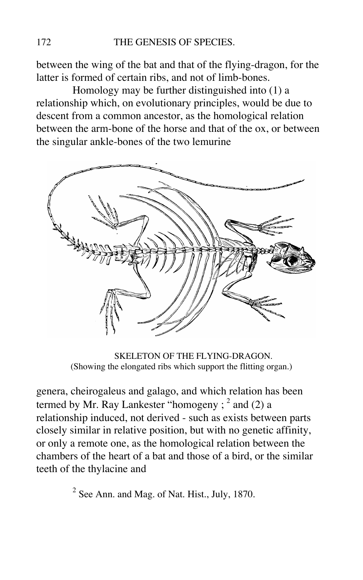between the wing of the bat and that of the flying-dragon, for the latter is formed of certain ribs, and not of limb-bones.

Homology may be further distinguished into (1) a relationship which, on evolutionary principles, would be due to descent from a common ancestor, as the homological relation between the arm-bone of the horse and that of the ox, or between the singular ankle-bones of the two lemurine



SKELETON OF THE FLYING-DRAGON. (Showing the elongated ribs which support the flitting organ.)

genera, cheirogaleus and galago, and which relation has been termed by Mr. Ray Lankester "homogeny ;  $^2$  and (2) a relationship induced, not derived - such as exists between parts closely similar in relative position, but with no genetic affinity, or only a remote one, as the homological relation between the chambers of the heart of a bat and those of a bird, or the similar teeth of the thylacine and

 $2^{2}$  See Ann. and Mag. of Nat. Hist., July, 1870.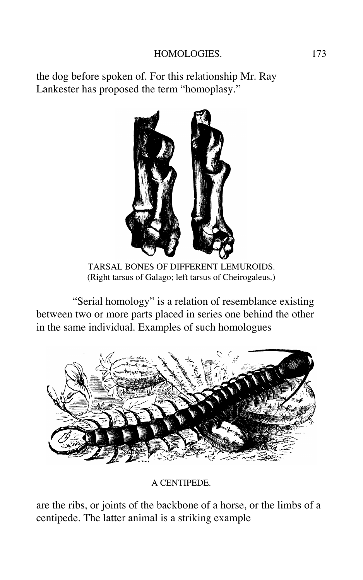# HOMOLOGIES. 173

the dog before spoken of. For this relationship Mr. Ray Lankester has proposed the term "homoplasy."



TARSAL BONES OF DIFFERENT LEMUROIDS. (Right tarsus of Galago; left tarsus of Cheirogaleus.)

"Serial homology" is a relation of resemblance existing between two or more parts placed in series one behind the other in the same individual. Examples of such homologues



A CENTIPEDE.

are the ribs, or joints of the backbone of a horse, or the limbs of a centipede. The latter animal is a striking example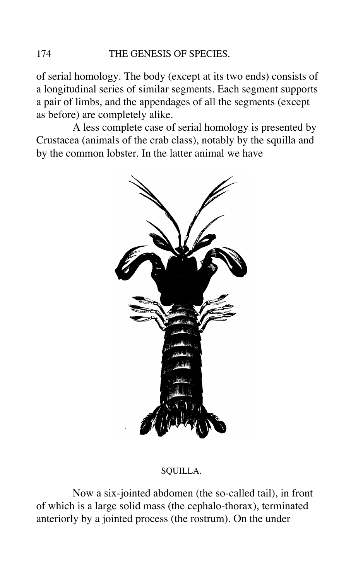of serial homology. The body (except at its two ends) consists of a longitudinal series of similar segments. Each segment supports a pair of limbs, and the appendages of all the segments (except as before) are completely alike.

A less complete case of serial homology is presented by Crustacea (animals of the crab class), notably by the squilla and by the common lobster. In the latter animal we have



## SQUILLA.

Now a six-jointed abdomen (the so-called tail), in front of which is a large solid mass (the cephalo-thorax), terminated anteriorly by a jointed process (the rostrum). On the under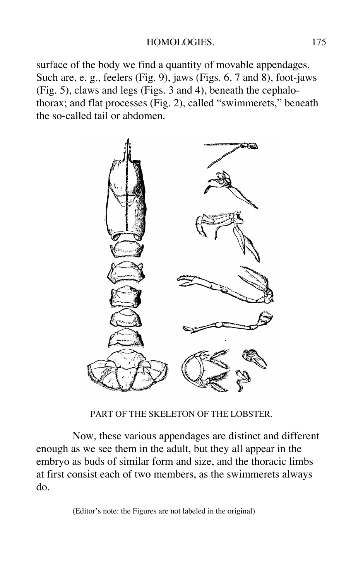surface of the body we find a quantity of movable appendages. Such are, e. g., feelers (Fig. 9), jaws (Figs. 6, 7 and 8), foot-jaws (Fig. 5), claws and legs (Figs. 3 and 4), beneath the cephalothorax; and flat processes (Fig. 2), called "swimmerets," beneath the so-called tail or abdomen.



PART OF THE SKELETON OF THE LOBSTER.

Now, these various appendages are distinct and different enough as we see them in the adult, but they all appear in the embryo as buds of similar form and size, and the thoracic limbs at first consist each of two members, as the swimmerets always do.

(Editor's note: the Figures are not labeled in the original)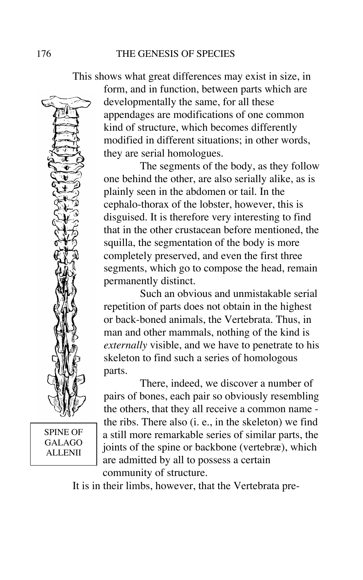

SPINE OF GALAGO ALLENII

This shows what great differences may exist in size, in form, and in function, between parts which are developmentally the same, for all these appendages are modifications of one common kind of structure, which becomes differently modified in different situations; in other words, they are serial homologues.

> The segments of the body, as they follow one behind the other, are also serially alike, as is plainly seen in the abdomen or tail. In the cephalo-thorax of the lobster, however, this is disguised. It is therefore very interesting to find that in the other crustacean before mentioned, the squilla, the segmentation of the body is more completely preserved, and even the first three segments, which go to compose the head, remain permanently distinct.

> Such an obvious and unmistakable serial repetition of parts does not obtain in the highest or back-boned animals, the Vertebrata. Thus, in man and other mammals, nothing of the kind is *externally* visible, and we have to penetrate to his skeleton to find such a series of homologous parts.

> There, indeed, we discover a number of pairs of bones, each pair so obviously resembling the others, that they all receive a common name the ribs. There also (i. e., in the skeleton) we find a still more remarkable series of similar parts, the joints of the spine or backbone (vertebræ), which are admitted by all to possess a certain community of structure.

It is in their limbs, however, that the Vertebrata pre-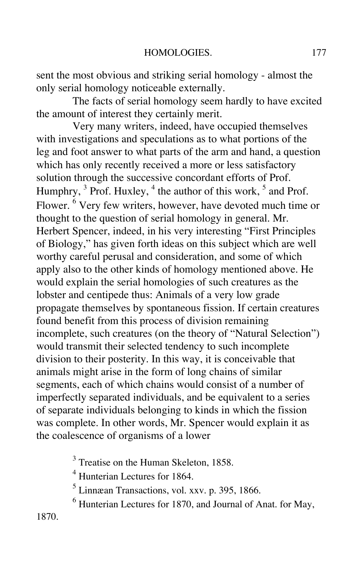sent the most obvious and striking serial homology - almost the only serial homology noticeable externally.

The facts of serial homology seem hardly to have excited the amount of interest they certainly merit.

Very many writers, indeed, have occupied themselves with investigations and speculations as to what portions of the leg and foot answer to what parts of the arm and hand, a question which has only recently received a more or less satisfactory solution through the successive concordant efforts of Prof. Humphry, <sup>3</sup> Prof. Huxley, <sup>4</sup> the author of this work, <sup>5</sup> and Prof. Flower. <sup>6</sup> Very few writers, however, have devoted much time or thought to the question of serial homology in general. Mr. Herbert Spencer, indeed, in his very interesting "First Principles of Biology," has given forth ideas on this subject which are well worthy careful perusal and consideration, and some of which apply also to the other kinds of homology mentioned above. He would explain the serial homologies of such creatures as the lobster and centipede thus: Animals of a very low grade propagate themselves by spontaneous fission. If certain creatures found benefit from this process of division remaining incomplete, such creatures (on the theory of "Natural Selection") would transmit their selected tendency to such incomplete division to their posterity. In this way, it is conceivable that animals might arise in the form of long chains of similar segments, each of which chains would consist of a number of imperfectly separated individuals, and be equivalent to a series of separate individuals belonging to kinds in which the fission was complete. In other words, Mr. Spencer would explain it as the coalescence of organisms of a lower

<sup>3</sup> Treatise on the Human Skeleton, 1858.

<sup>4</sup> Hunterian Lectures for 1864.

<sup>5</sup> Linnæan Transactions, vol. xxv. p. 395, 1866.

<sup>6</sup> Hunterian Lectures for 1870, and Journal of Anat. for May,

1870.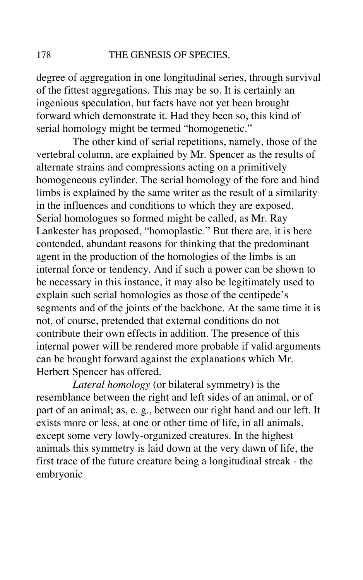degree of aggregation in one longitudinal series, through survival of the fittest aggregations. This may be so. It is certainly an ingenious speculation, but facts have not yet been brought forward which demonstrate it. Had they been so, this kind of serial homology might be termed "homogenetic."

The other kind of serial repetitions, namely, those of the vertebral column, are explained by Mr. Spencer as the results of alternate strains and compressions acting on a primitively homogeneous cylinder. The serial homology of the fore and hind limbs is explained by the same writer as the result of a similarity in the influences and conditions to which they are exposed. Serial homologues so formed might be called, as Mr. Ray Lankester has proposed, "homoplastic." But there are, it is here contended, abundant reasons for thinking that the predominant agent in the production of the homologies of the limbs is an internal force or tendency. And if such a power can be shown to be necessary in this instance, it may also be legitimately used to explain such serial homologies as those of the centipede's segments and of the joints of the backbone. At the same time it is not, of course, pretended that external conditions do not contribute their own effects in addition. The presence of this internal power will be rendered more probable if valid arguments can be brought forward against the explanations which Mr. Herbert Spencer has offered.

*Lateral homology* (or bilateral symmetry) is the resemblance between the right and left sides of an animal, or of part of an animal; as, e. g., between our right hand and our left. It exists more or less, at one or other time of life, in all animals, except some very lowly-organized creatures. In the highest animals this symmetry is laid down at the very dawn of life, the first trace of the future creature being a longitudinal streak - the embryonic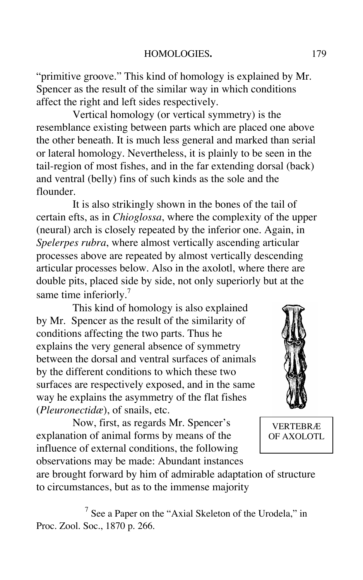"primitive groove." This kind of homology is explained by Mr. Spencer as the result of the similar way in which conditions affect the right and left sides respectively.

Vertical homology (or vertical symmetry) is the resemblance existing between parts which are placed one above the other beneath. It is much less general and marked than serial or lateral homology. Nevertheless, it is plainly to be seen in the tail-region of most fishes, and in the far extending dorsal (back) and ventral (belly) fins of such kinds as the sole and the flounder.

It is also strikingly shown in the bones of the tail of certain efts, as in *Chioglossa*, where the complexity of the upper (neural) arch is closely repeated by the inferior one. Again, in *Spelerpes rubra*, where almost vertically ascending articular processes above are repeated by almost vertically descending articular processes below. Also in the axolotl, where there are double pits, placed side by side, not only superiorly but at the same time inferiorly.<sup>7</sup>

This kind of homology is also explained by Mr. Spencer as the result of the similarity of conditions affecting the two parts. Thus he explains the very general absence of symmetry between the dorsal and ventral surfaces of animals by the different conditions to which these two surfaces are respectively exposed, and in the same way he explains the asymmetry of the flat fishes (*Pleuronectidæ*), of snails, etc.

Now, first, as regards Mr. Spencer's explanation of animal forms by means of the influence of external conditions, the following observations may be made: Abundant instances



VERTEBRÆ OF AXOLOTL

are brought forward by him of admirable adaptation of structure to circumstances, but as to the immense majority

 $<sup>7</sup>$  See a Paper on the "Axial Skeleton of the Urodela," in</sup> Proc. Zool. Soc., 1870 p. 266.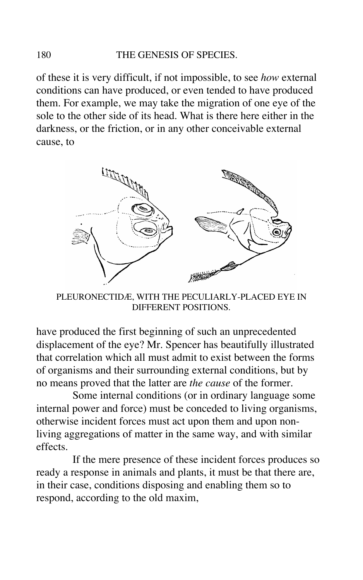## 180 THE GENESIS OF SPECIES.

of these it is very difficult, if not impossible, to see *how* external conditions can have produced, or even tended to have produced them. For example, we may take the migration of one eye of the sole to the other side of its head. What is there here either in the darkness, or the friction, or in any other conceivable external cause, to



PLEURONECTIDÆ, WITH THE PECULIARLY-PLACED EYE IN DIFFERENT POSITIONS.

have produced the first beginning of such an unprecedented displacement of the eye? Mr. Spencer has beautifully illustrated that correlation which all must admit to exist between the forms of organisms and their surrounding external conditions, but by no means proved that the latter are *the cause* of the former.

Some internal conditions (or in ordinary language some internal power and force) must be conceded to living organisms, otherwise incident forces must act upon them and upon nonliving aggregations of matter in the same way, and with similar effects.

If the mere presence of these incident forces produces so ready a response in animals and plants, it must be that there are, in their case, conditions disposing and enabling them so to respond, according to the old maxim,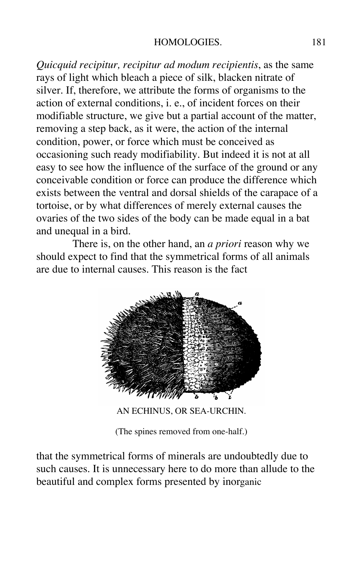#### HOMOLOGIES. 181

*Quicquid recipitur, recipitur ad modum recipientis*, as the same rays of light which bleach a piece of silk, blacken nitrate of silver. If, therefore, we attribute the forms of organisms to the action of external conditions, i. e., of incident forces on their modifiable structure, we give but a partial account of the matter, removing a step back, as it were, the action of the internal condition, power, or force which must be conceived as occasioning such ready modifiability. But indeed it is not at all easy to see how the influence of the surface of the ground or any conceivable condition or force can produce the difference which exists between the ventral and dorsal shields of the carapace of a tortoise, or by what differences of merely external causes the ovaries of the two sides of the body can be made equal in a bat and unequal in a bird.

There is, on the other hand, an *a priori* reason why we should expect to find that the symmetrical forms of all animals are due to internal causes. This reason is the fact



AN ECHINUS, OR SEA-URCHIN.

(The spines removed from one-half.)

that the symmetrical forms of minerals are undoubtedly due to such causes. It is unnecessary here to do more than allude to the beautiful and complex forms presented by inorganic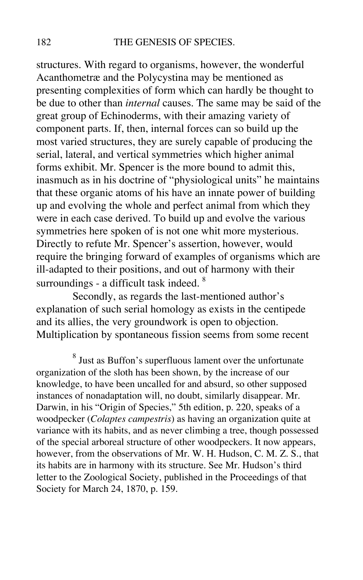structures. With regard to organisms, however, the wonderful Acanthometræ and the Polycystina may be mentioned as presenting complexities of form which can hardly be thought to be due to other than *internal* causes. The same may be said of the great group of Echinoderms, with their amazing variety of component parts. If, then, internal forces can so build up the most varied structures, they are surely capable of producing the serial, lateral, and vertical symmetries which higher animal forms exhibit. Mr. Spencer is the more bound to admit this, inasmuch as in his doctrine of "physiological units" he maintains that these organic atoms of his have an innate power of building up and evolving the whole and perfect animal from which they were in each case derived. To build up and evolve the various symmetries here spoken of is not one whit more mysterious. Directly to refute Mr. Spencer's assertion, however, would require the bringing forward of examples of organisms which are ill-adapted to their positions, and out of harmony with their surroundings - a difficult task indeed. <sup>8</sup>

Secondly, as regards the last-mentioned author's explanation of such serial homology as exists in the centipede and its allies, the very groundwork is open to objection. Multiplication by spontaneous fission seems from some recent

 $^8$  Just as Buffon's superfluous lament over the unfortunate organization of the sloth has been shown, by the increase of our knowledge, to have been uncalled for and absurd, so other supposed instances of nonadaptation will, no doubt, similarly disappear. Mr. Darwin, in his "Origin of Species," 5th edition, p. 220, speaks of a woodpecker (*Colaptes campestris*) as having an organization quite at variance with its habits, and as never climbing a tree, though possessed of the special arboreal structure of other woodpeckers. It now appears, however, from the observations of Mr. W. H. Hudson, C. M. Z. S., that its habits are in harmony with its structure. See Mr. Hudson's third letter to the Zoological Society, published in the Proceedings of that Society for March 24, 1870, p. 159.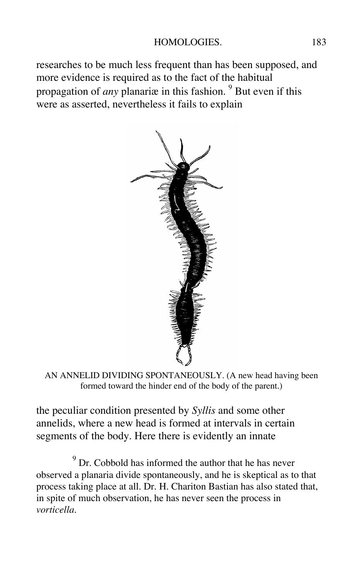researches to be much less frequent than has been supposed, and more evidence is required as to the fact of the habitual propagation of *any* planariæ in this fashion. <sup>9</sup> But even if this were as asserted, nevertheless it fails to explain



AN ANNELID DIVIDING SPONTANEOUSLY. (A new head having been formed toward the hinder end of the body of the parent.)

the peculiar condition presented by *Syllis* and some other annelids, where a new head is formed at intervals in certain segments of the body. Here there is evidently an innate

 $9^{9}$  Dr. Cobbold has informed the author that he has never observed a planaria divide spontaneously, and he is skeptical as to that process taking place at all. Dr. H. Chariton Bastian has also stated that, in spite of much observation, he has never seen the process in *vorticella*.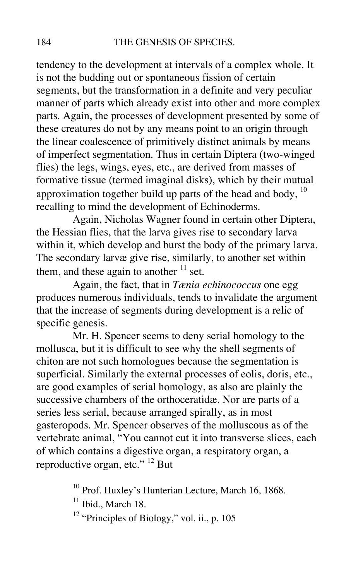tendency to the development at intervals of a complex whole. It is not the budding out or spontaneous fission of certain segments, but the transformation in a definite and very peculiar manner of parts which already exist into other and more complex parts. Again, the processes of development presented by some of these creatures do not by any means point to an origin through the linear coalescence of primitively distinct animals by means of imperfect segmentation. Thus in certain Diptera (two-winged flies) the legs, wings, eyes, etc., are derived from masses of formative tissue (termed imaginal disks), which by their mutual approximation together build up parts of the head and body,  $10$ recalling to mind the development of Echinoderms.

Again, Nicholas Wagner found in certain other Diptera, the Hessian flies, that the larva gives rise to secondary larva within it, which develop and burst the body of the primary larva. The secondary larvæ give rise, similarly, to another set within them, and these again to another  $11$  set.

Again, the fact, that in *Tænia echinococcus* one egg produces numerous individuals, tends to invalidate the argument that the increase of segments during development is a relic of specific genesis.

Mr. H. Spencer seems to deny serial homology to the mollusca, but it is difficult to see why the shell segments of chiton are not such homologues because the segmentation is superficial. Similarly the external processes of eolis, doris, etc., are good examples of serial homology, as also are plainly the successive chambers of the orthoceratidæ. Nor are parts of a series less serial, because arranged spirally, as in most gasteropods. Mr. Spencer observes of the molluscous as of the vertebrate animal, "You cannot cut it into transverse slices, each of which contains a digestive organ, a respiratory organ, a reproductive organ, etc."<sup>12</sup> But

<sup>10</sup> Prof. Huxley's Hunterian Lecture, March 16, 1868.

 $11$  Ibid., March 18.

<sup>12</sup> "Principles of Biology," vol. ii., p. 105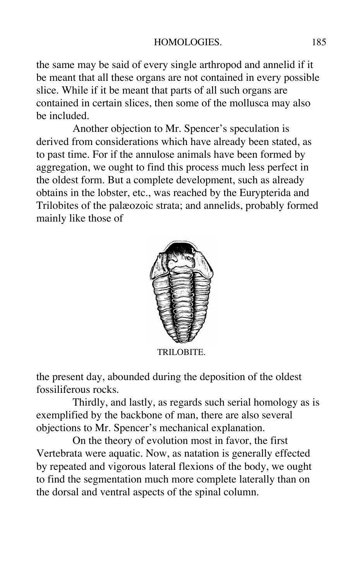the same may be said of every single arthropod and annelid if it be meant that all these organs are not contained in every possible slice. While if it be meant that parts of all such organs are contained in certain slices, then some of the mollusca may also be included.

Another objection to Mr. Spencer's speculation is derived from considerations which have already been stated, as to past time. For if the annulose animals have been formed by aggregation, we ought to find this process much less perfect in the oldest form. But a complete development, such as already obtains in the lobster, etc., was reached by the Eurypterida and Trilobites of the palæozoic strata; and annelids, probably formed mainly like those of



TRILOBITE.

the present day, abounded during the deposition of the oldest fossiliferous rocks.

Thirdly, and lastly, as regards such serial homology as is exemplified by the backbone of man, there are also several objections to Mr. Spencer's mechanical explanation.

On the theory of evolution most in favor, the first Vertebrata were aquatic. Now, as natation is generally effected by repeated and vigorous lateral flexions of the body, we ought to find the segmentation much more complete laterally than on the dorsal and ventral aspects of the spinal column.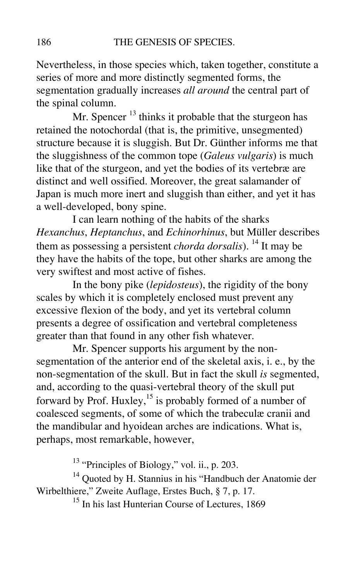Nevertheless, in those species which, taken together, constitute a series of more and more distinctly segmented forms, the segmentation gradually increases *all around* the central part of the spinal column.

Mr. Spencer  $<sup>13</sup>$  thinks it probable that the sturgeon has</sup> retained the notochordal (that is, the primitive, unsegmented) structure because it is sluggish. But Dr. Günther informs me that the sluggishness of the common tope (*Galeus vulgaris*) is much like that of the sturgeon, and yet the bodies of its vertebræ are distinct and well ossified. Moreover, the great salamander of Japan is much more inert and sluggish than either, and yet it has a well-developed, bony spine.

I can learn nothing of the habits of the sharks *Hexanchus*, *Heptanchus*, and *Echinorhinus*, but Müller describes them as possessing a persistent *chorda dorsalis*). <sup>14</sup> It may be they have the habits of the tope, but other sharks are among the very swiftest and most active of fishes.

In the bony pike (*lepidosteus*), the rigidity of the bony scales by which it is completely enclosed must prevent any excessive flexion of the body, and yet its vertebral column presents a degree of ossification and vertebral completeness greater than that found in any other fish whatever.

Mr. Spencer supports his argument by the nonsegmentation of the anterior end of the skeletal axis, i. e., by the non-segmentation of the skull. But in fact the skull *is* segmented, and, according to the quasi-vertebral theory of the skull put forward by Prof. Huxley,<sup>15</sup> is probably formed of a number of coalesced segments, of some of which the trabeculæ cranii and the mandibular and hyoidean arches are indications. What is, perhaps, most remarkable, however,

<sup>13</sup> "Principles of Biology," vol. ii., p. 203.

<sup>14</sup> Quoted by H. Stannius in his "Handbuch der Anatomie der Wirbelthiere," Zweite Auflage, Erstes Buch, § 7, p. 17.

<sup>15</sup> In his last Hunterian Course of Lectures, 1869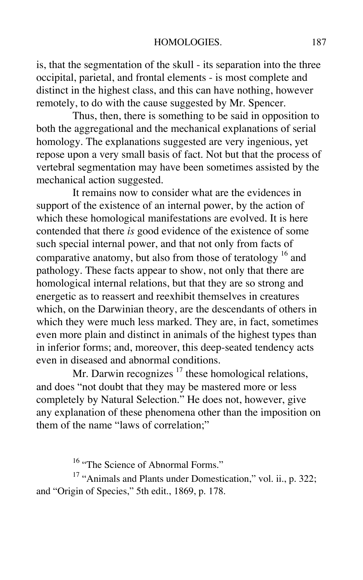is, that the segmentation of the skull - its separation into the three occipital, parietal, and frontal elements - is most complete and distinct in the highest class, and this can have nothing, however remotely, to do with the cause suggested by Mr. Spencer.

Thus, then, there is something to be said in opposition to both the aggregational and the mechanical explanations of serial homology. The explanations suggested are very ingenious, yet repose upon a very small basis of fact. Not but that the process of vertebral segmentation may have been sometimes assisted by the mechanical action suggested.

It remains now to consider what are the evidences in support of the existence of an internal power, by the action of which these homological manifestations are evolved. It is here contended that there *is* good evidence of the existence of some such special internal power, and that not only from facts of comparative anatomy, but also from those of teratology  $^{16}$  and pathology. These facts appear to show, not only that there are homological internal relations, but that they are so strong and energetic as to reassert and reexhibit themselves in creatures which, on the Darwinian theory, are the descendants of others in which they were much less marked. They are, in fact, sometimes even more plain and distinct in animals of the highest types than in inferior forms; and, moreover, this deep-seated tendency acts even in diseased and abnormal conditions.

Mr. Darwin recognizes  $17$  these homological relations, and does "not doubt that they may be mastered more or less completely by Natural Selection." He does not, however, give any explanation of these phenomena other than the imposition on them of the name "laws of correlation;"

<sup>16</sup> "The Science of Abnormal Forms."

 $17$  "Animals and Plants under Domestication," vol. ii., p. 322; and "Origin of Species," 5th edit., 1869, p. 178.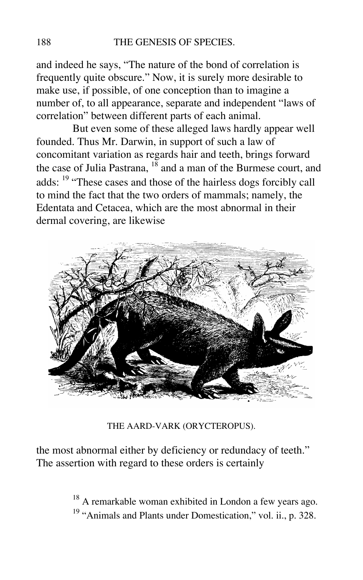and indeed he says, "The nature of the bond of correlation is frequently quite obscure." Now, it is surely more desirable to make use, if possible, of one conception than to imagine a number of, to all appearance, separate and independent "laws of correlation" between different parts of each animal.

But even some of these alleged laws hardly appear well founded. Thus Mr. Darwin, in support of such a law of concomitant variation as regards hair and teeth, brings forward the case of Julia Pastrana,  $18$  and a man of the Burmese court, and adds: <sup>19</sup> "These cases and those of the hairless dogs forcibly call to mind the fact that the two orders of mammals; namely, the Edentata and Cetacea, which are the most abnormal in their dermal covering, are likewise



THE AARD-VARK (ORYCTEROPUS).

the most abnormal either by deficiency or redundacy of teeth." The assertion with regard to these orders is certainly

> $18$  A remarkable woman exhibited in London a few years ago. <sup>19</sup> "Animals and Plants under Domestication," vol. ii., p. 328.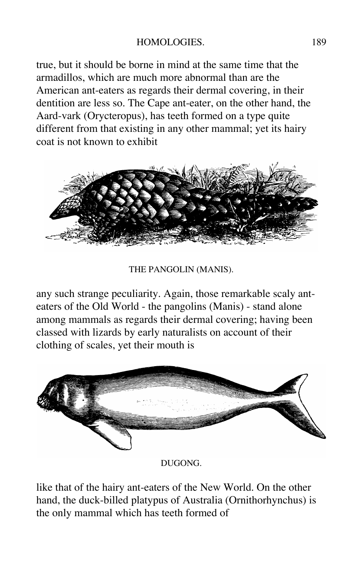true, but it should be borne in mind at the same time that the armadillos, which are much more abnormal than are the American ant-eaters as regards their dermal covering, in their dentition are less so. The Cape ant-eater, on the other hand, the Aard-vark (Orycteropus), has teeth formed on a type quite different from that existing in any other mammal; yet its hairy coat is not known to exhibit



THE PANGOLIN (MANIS).

any such strange peculiarity. Again, those remarkable scaly anteaters of the Old World - the pangolins (Manis) - stand alone among mammals as regards their dermal covering; having been classed with lizards by early naturalists on account of their clothing of scales, yet their mouth is



DUGONG.

like that of the hairy ant-eaters of the New World. On the other hand, the duck-billed platypus of Australia (Ornithorhynchus) is the only mammal which has teeth formed of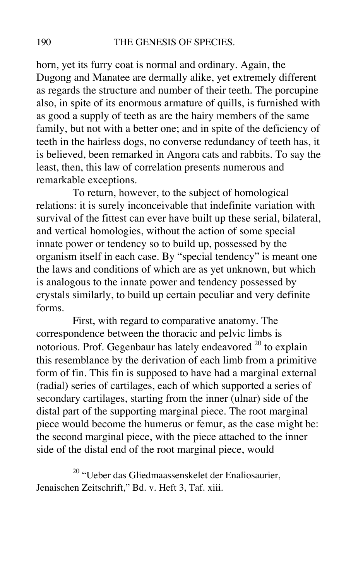horn, yet its furry coat is normal and ordinary. Again, the Dugong and Manatee are dermally alike, yet extremely different as regards the structure and number of their teeth. The porcupine also, in spite of its enormous armature of quills, is furnished with as good a supply of teeth as are the hairy members of the same family, but not with a better one; and in spite of the deficiency of teeth in the hairless dogs, no converse redundancy of teeth has, it is believed, been remarked in Angora cats and rabbits. To say the least, then, this law of correlation presents numerous and remarkable exceptions.

To return, however, to the subject of homological relations: it is surely inconceivable that indefinite variation with survival of the fittest can ever have built up these serial, bilateral, and vertical homologies, without the action of some special innate power or tendency so to build up, possessed by the organism itself in each case. By "special tendency" is meant one the laws and conditions of which are as yet unknown, but which is analogous to the innate power and tendency possessed by crystals similarly, to build up certain peculiar and very definite forms.

First, with regard to comparative anatomy. The correspondence between the thoracic and pelvic limbs is notorious. Prof. Gegenbaur has lately endeavored  $^{20}$  to explain this resemblance by the derivation of each limb from a primitive form of fin. This fin is supposed to have had a marginal external (radial) series of cartilages, each of which supported a series of secondary cartilages, starting from the inner (ulnar) side of the distal part of the supporting marginal piece. The root marginal piece would become the humerus or femur, as the case might be: the second marginal piece, with the piece attached to the inner side of the distal end of the root marginal piece, would

<sup>20</sup> "Ueber das Gliedmaassenskelet der Enaliosaurier, Jenaischen Zeitschrift," Bd. v. Heft 3, Taf. xiii.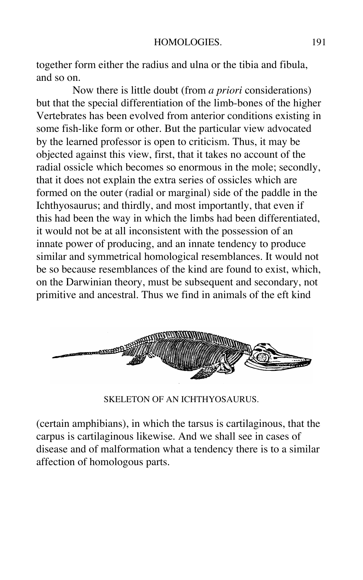together form either the radius and ulna or the tibia and fibula, and so on.

Now there is little doubt (from *a priori* considerations) but that the special differentiation of the limb-bones of the higher Vertebrates has been evolved from anterior conditions existing in some fish-like form or other. But the particular view advocated by the learned professor is open to criticism. Thus, it may be objected against this view, first, that it takes no account of the radial ossicle which becomes so enormous in the mole; secondly, that it does not explain the extra series of ossicles which are formed on the outer (radial or marginal) side of the paddle in the Ichthyosaurus; and thirdly, and most importantly, that even if this had been the way in which the limbs had been differentiated, it would not be at all inconsistent with the possession of an innate power of producing, and an innate tendency to produce similar and symmetrical homological resemblances. It would not be so because resemblances of the kind are found to exist, which, on the Darwinian theory, must be subsequent and secondary, not primitive and ancestral. Thus we find in animals of the eft kind



SKELETON OF AN ICHTHYOSAURUS.

(certain amphibians), in which the tarsus is cartilaginous, that the carpus is cartilaginous likewise. And we shall see in cases of disease and of malformation what a tendency there is to a similar affection of homologous parts.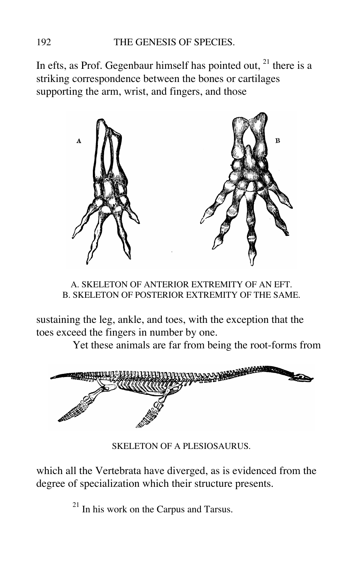In efts, as Prof. Gegenbaur himself has pointed out,  $21$  there is a striking correspondence between the bones or cartilages supporting the arm, wrist, and fingers, and those



A. SKELETON OF ANTERIOR EXTREMITY OF AN EFT. B. SKELETON OF POSTERIOR EXTREMITY OF THE SAME.

sustaining the leg, ankle, and toes, with the exception that the toes exceed the fingers in number by one.

Yet these animals are far from being the root-forms from



SKELETON OF A PLESIOSAURUS.

which all the Vertebrata have diverged, as is evidenced from the degree of specialization which their structure presents.

 $^{21}$  In his work on the Carpus and Tarsus.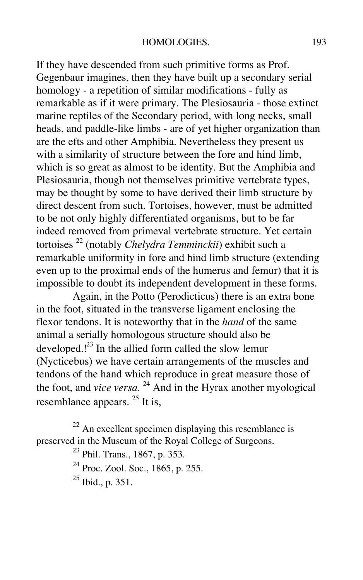If they have descended from such primitive forms as Prof. Gegenbaur imagines, then they have built up a secondary serial homology - a repetition of similar modifications - fully as remarkable as if it were primary. The Plesiosauria - those extinct marine reptiles of the Secondary period, with long necks, small heads, and paddle-like limbs - are of yet higher organization than are the efts and other Amphibia. Nevertheless they present us with a similarity of structure between the fore and hind limb, which is so great as almost to be identity. But the Amphibia and Plesiosauria, though not themselves primitive vertebrate types, may be thought by some to have derived their limb structure by direct descent from such. Tortoises, however, must be admitted to be not only highly differentiated organisms, but to be far indeed removed from primeval vertebrate structure. Yet certain tortoises 22 (notably *Chelydra Temminckii*) exhibit such a remarkable uniformity in fore and hind limb structure (extending even up to the proximal ends of the humerus and femur) that it is impossible to doubt its independent development in these forms.

Again, in the Potto (Perodicticus) there is an extra bone in the foot, situated in the transverse ligament enclosing the flexor tendons. It is noteworthy that in the *hand* of the same animal a serially homologous structure should also be developed.<sup>[23</sup> In the allied form called the slow lemur (Nycticebus) we have certain arrangements of the muscles and tendons of the hand which reproduce in great measure those of the foot, and *vice versa*. 24 And in the Hyrax another myological resemblance appears.  $2^5$  It is,

 $22$  An excellent specimen displaying this resemblance is preserved in the Museum of the Royal College of Surgeons.

23 Phil. Trans., 1867, p. 353.

<sup>24</sup> Proc. Zool. Soc., 1865, p. 255.

25 Ibid., p. 351.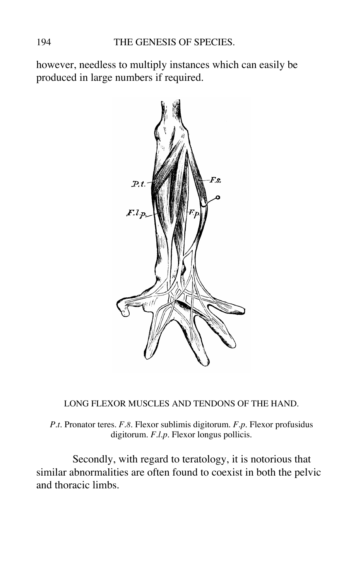however, needless to multiply instances which can easily be produced in large numbers if required.



LONG FLEXOR MUSCLES AND TENDONS OF THE HAND.

*P.t.* Pronator teres. *F.8.* Flexor sublimis digitorum. *F.p.* Flexor profusidus digitorum. *F.l.p.* Flexor longus pollicis.

Secondly, with regard to teratology, it is notorious that similar abnormalities are often found to coexist in both the pelvic and thoracic limbs.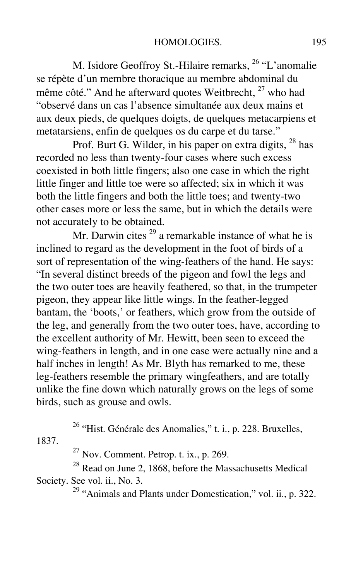M. Isidore Geoffroy St.-Hilaire remarks, <sup>26</sup> "L'anomalie se répète d'un membre thoracique au membre abdominal du même côté." And he afterward quotes Weitbrecht.<sup>27</sup> who had "observé dans un cas l'absence simultanée aux deux mains et aux deux pieds, de quelques doigts, de quelques metacarpiens et metatarsiens, enfin de quelques os du carpe et du tarse."

Prof. Burt G. Wilder, in his paper on extra digits,  $^{28}$  has recorded no less than twenty-four cases where such excess coexisted in both little fingers; also one case in which the right little finger and little toe were so affected; six in which it was both the little fingers and both the little toes; and twenty-two other cases more or less the same, but in which the details were not accurately to be obtained.

Mr. Darwin cites  $29$  a remarkable instance of what he is inclined to regard as the development in the foot of birds of a sort of representation of the wing-feathers of the hand. He says: "In several distinct breeds of the pigeon and fowl the legs and the two outer toes are heavily feathered, so that, in the trumpeter pigeon, they appear like little wings. In the feather-legged bantam, the 'boots,' or feathers, which grow from the outside of the leg, and generally from the two outer toes, have, according to the excellent authority of Mr. Hewitt, been seen to exceed the wing-feathers in length, and in one case were actually nine and a half inches in length! As Mr. Blyth has remarked to me, these leg-feathers resemble the primary wingfeathers, and are totally unlike the fine down which naturally grows on the legs of some birds, such as grouse and owls.

<sup>26</sup> "Hist. Générale des Anomalies," t. i., p. 228. Bruxelles, 1837.

 $27$  Nov. Comment. Petrop. t. ix., p. 269.

28 Read on June 2, 1868, before the Massachusetts Medical Society. See vol. ii., No. 3.

29 "Animals and Plants under Domestication," vol. ii., p. 322.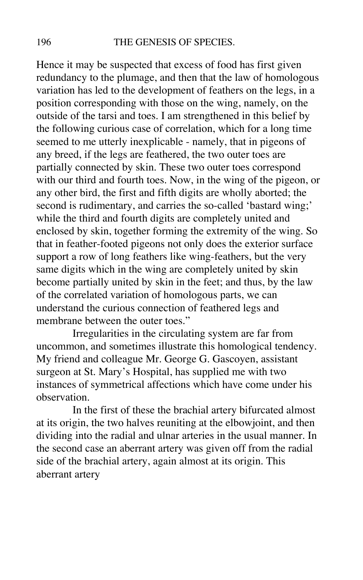Hence it may be suspected that excess of food has first given redundancy to the plumage, and then that the law of homologous variation has led to the development of feathers on the legs, in a position corresponding with those on the wing, namely, on the outside of the tarsi and toes. I am strengthened in this belief by the following curious case of correlation, which for a long time seemed to me utterly inexplicable - namely, that in pigeons of any breed, if the legs are feathered, the two outer toes are partially connected by skin. These two outer toes correspond with our third and fourth toes. Now, in the wing of the pigeon, or any other bird, the first and fifth digits are wholly aborted; the second is rudimentary, and carries the so-called 'bastard wing;' while the third and fourth digits are completely united and enclosed by skin, together forming the extremity of the wing. So that in feather-footed pigeons not only does the exterior surface support a row of long feathers like wing-feathers, but the very same digits which in the wing are completely united by skin become partially united by skin in the feet; and thus, by the law of the correlated variation of homologous parts, we can understand the curious connection of feathered legs and membrane between the outer toes."

Irregularities in the circulating system are far from uncommon, and sometimes illustrate this homological tendency. My friend and colleague Mr. George G. Gascoyen, assistant surgeon at St. Mary's Hospital, has supplied me with two instances of symmetrical affections which have come under his observation.

In the first of these the brachial artery bifurcated almost at its origin, the two halves reuniting at the elbowjoint, and then dividing into the radial and ulnar arteries in the usual manner. In the second case an aberrant artery was given off from the radial side of the brachial artery, again almost at its origin. This aberrant artery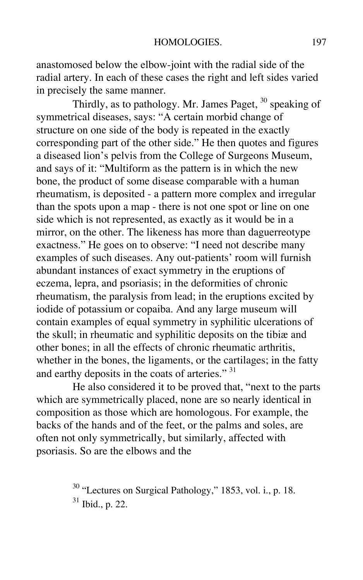anastomosed below the elbow-joint with the radial side of the radial artery. In each of these cases the right and left sides varied in precisely the same manner.

Thirdly, as to pathology. Mr. James Paget,  $30$  speaking of symmetrical diseases, says: "A certain morbid change of structure on one side of the body is repeated in the exactly corresponding part of the other side." He then quotes and figures a diseased lion's pelvis from the College of Surgeons Museum, and says of it: "Multiform as the pattern is in which the new bone, the product of some disease comparable with a human rheumatism, is deposited - a pattern more complex and irregular than the spots upon a map - there is not one spot or line on one side which is not represented, as exactly as it would be in a mirror, on the other. The likeness has more than daguerreotype exactness." He goes on to observe: "I need not describe many examples of such diseases. Any out-patients' room will furnish abundant instances of exact symmetry in the eruptions of eczema, lepra, and psoriasis; in the deformities of chronic rheumatism, the paralysis from lead; in the eruptions excited by iodide of potassium or copaiba. And any large museum will contain examples of equal symmetry in syphilitic ulcerations of the skull; in rheumatic and syphilitic deposits on the tibiæ and other bones; in all the effects of chronic rheumatic arthritis, whether in the bones, the ligaments, or the cartilages; in the fatty and earthy deposits in the coats of arteries." 31

He also considered it to be proved that, "next to the parts which are symmetrically placed, none are so nearly identical in composition as those which are homologous. For example, the backs of the hands and of the feet, or the palms and soles, are often not only symmetrically, but similarly, affected with psoriasis. So are the elbows and the

> <sup>30</sup> "Lectures on Surgical Pathology," 1853, vol. i., p. 18.  $31$  Ibid., p. 22.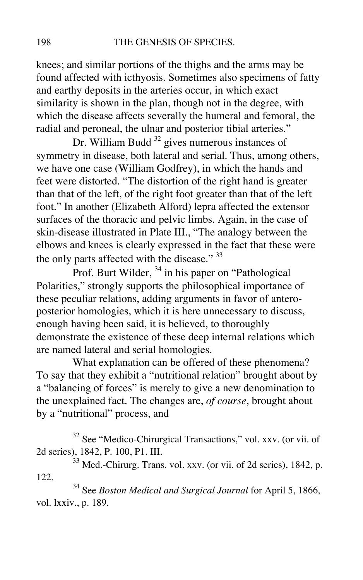knees; and similar portions of the thighs and the arms may be found affected with icthyosis. Sometimes also specimens of fatty and earthy deposits in the arteries occur, in which exact similarity is shown in the plan, though not in the degree, with which the disease affects severally the humeral and femoral, the radial and peroneal, the ulnar and posterior tibial arteries."

Dr. William Budd  $32$  gives numerous instances of symmetry in disease, both lateral and serial. Thus, among others, we have one case (William Godfrey), in which the hands and feet were distorted. "The distortion of the right hand is greater than that of the left, of the right foot greater than that of the left foot." In another (Elizabeth Alford) lepra affected the extensor surfaces of the thoracic and pelvic limbs. Again, in the case of skin-disease illustrated in Plate III., "The analogy between the elbows and knees is clearly expressed in the fact that these were the only parts affected with the disease." 33

Prof. Burt Wilder, <sup>34</sup> in his paper on "Pathological Polarities," strongly supports the philosophical importance of these peculiar relations, adding arguments in favor of anteroposterior homologies, which it is here unnecessary to discuss, enough having been said, it is believed, to thoroughly demonstrate the existence of these deep internal relations which are named lateral and serial homologies.

What explanation can be offered of these phenomena? To say that they exhibit a "nutritional relation" brought about by a "balancing of forces" is merely to give a new denomination to the unexplained fact. The changes are, *of course*, brought about by a "nutritional" process, and

<sup>32</sup> See "Medico-Chirurgical Transactions," vol. xxv. (or vii. of 2d series), 1842, P. 100, P1. III.

33 Med.-Chirurg. Trans. vol. xxv. (or vii. of 2d series), 1842, p. 122.

34 See *Boston Medical and Surgical Journal* for April 5, 1866, vol. lxxiv., p. 189.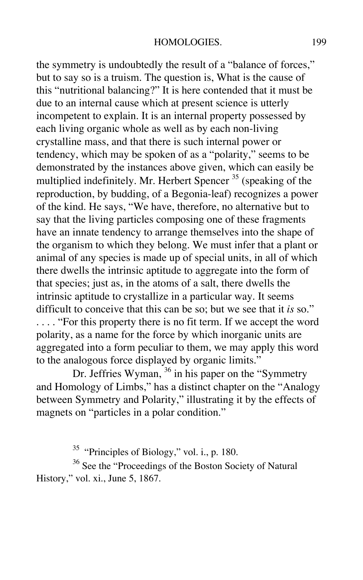the symmetry is undoubtedly the result of a "balance of forces," but to say so is a truism. The question is, What is the cause of this "nutritional balancing?" It is here contended that it must be due to an internal cause which at present science is utterly incompetent to explain. It is an internal property possessed by each living organic whole as well as by each non-living crystalline mass, and that there is such internal power or tendency, which may be spoken of as a "polarity," seems to be demonstrated by the instances above given, which can easily be multiplied indefinitely. Mr. Herbert Spencer  $35$  (speaking of the reproduction, by budding, of a Begonia-leaf) recognizes a power of the kind. He says, "We have, therefore, no alternative but to say that the living particles composing one of these fragments have an innate tendency to arrange themselves into the shape of the organism to which they belong. We must infer that a plant or animal of any species is made up of special units, in all of which there dwells the intrinsic aptitude to aggregate into the form of that species; just as, in the atoms of a salt, there dwells the intrinsic aptitude to crystallize in a particular way. It seems difficult to conceive that this can be so; but we see that it *is* so." . . . . "For this property there is no fit term. If we accept the word polarity, as a name for the force by which inorganic units are aggregated into a form peculiar to them, we may apply this word to the analogous force displayed by organic limits."

Dr. Jeffries Wyman, <sup>36</sup> in his paper on the "Symmetry and Homology of Limbs," has a distinct chapter on the "Analogy between Symmetry and Polarity," illustrating it by the effects of magnets on "particles in a polar condition."

<sup>35</sup> "Principles of Biology," vol. i., p. 180.

<sup>36</sup> See the "Proceedings of the Boston Society of Natural History," vol. xi., June 5, 1867.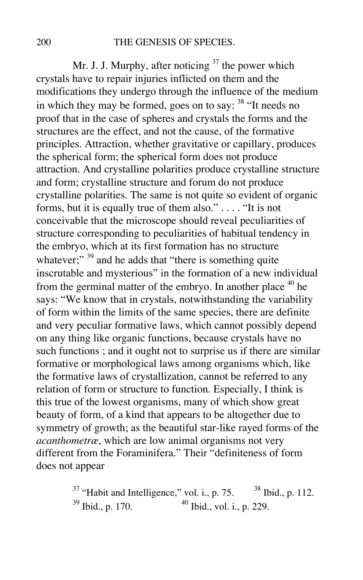Mr. J. J. Murphy, after noticing  $37$  the power which crystals have to repair injuries inflicted on them and the modifications they undergo through the influence of the medium in which they may be formed, goes on to say: <sup>38</sup> "It needs no proof that in the case of spheres and crystals the forms and the structures are the effect, and not the cause, of the formative principles. Attraction, whether gravitative or capillary, produces the spherical form; the spherical form does not produce attraction. And crystalline polarities produce crystalline structure and form; crystalline structure and forum do not produce crystalline polarities. The same is not quite so evident of organic forms, but it is equally true of them also." . . . . "It is not conceivable that the microscope should reveal peculiarities of structure corresponding to peculiarities of habitual tendency in the embryo, which at its first formation has no structure whatever;"  $39$  and he adds that "there is something quite inscrutable and mysterious" in the formation of a new individual from the germinal matter of the embryo. In another place  $40$  he says: "We know that in crystals, notwithstanding the variability of form within the limits of the same species, there are definite and very peculiar formative laws, which cannot possibly depend on any thing like organic functions, because crystals have no such functions ; and it ought not to surprise us if there are similar formative or morphological laws among organisms which, like the formative laws of crystallization, cannot be referred to any relation of form or structure to function. Especially, I think is this true of the lowest organisms, many of which show great beauty of form, of a kind that appears to be altogether due to symmetry of growth; as the beautiful star-like rayed forms of the *acanthometræ*, which are low animal organisms not very different from the Foraminifera." Their "definiteness of form does not appear

> $37$  "Habit and Intelligence," vol. i., p. 75.  $38$  Ibid., p. 112.  $39$  Ibid., p. 170.  $40$  Ibid., vol. i., p. 229.